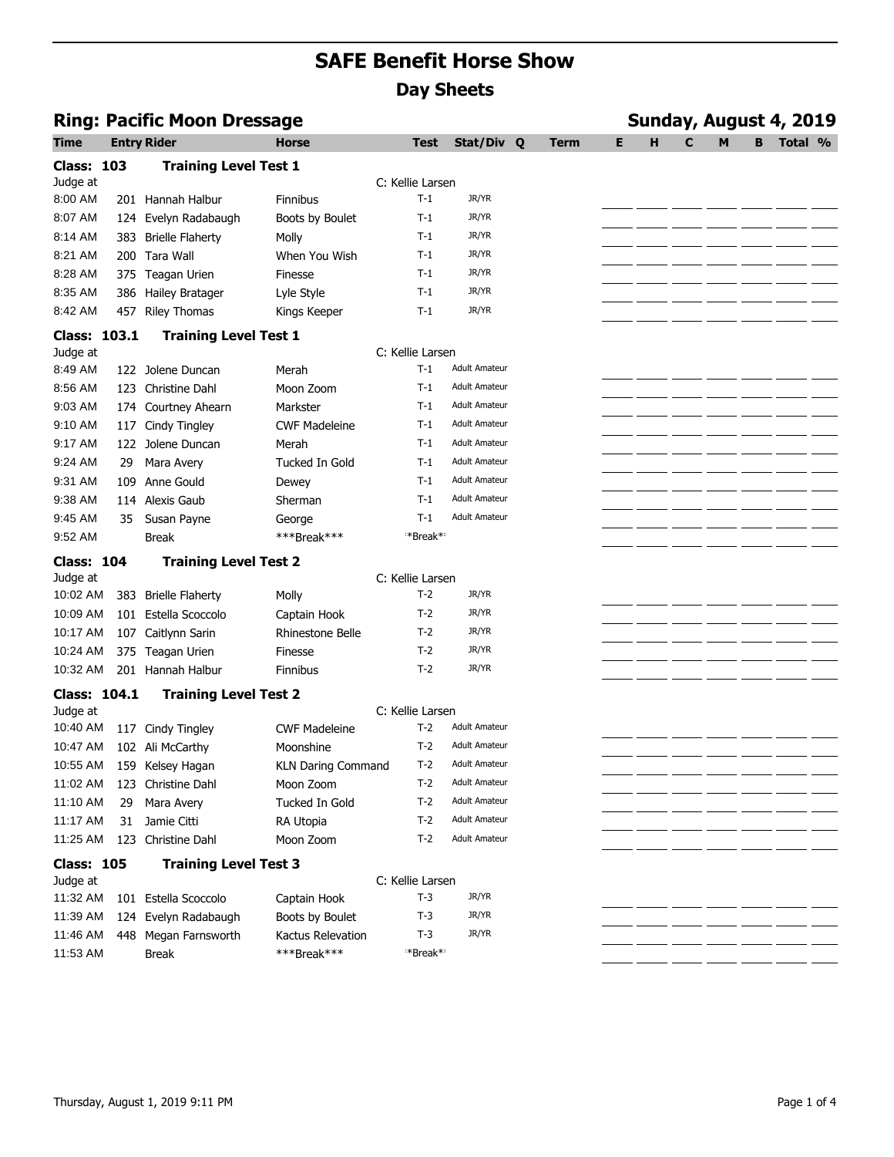|                     |     | <b>Ring: Pacific Moon Dressage</b> |                           |                      |                      |      |    | Sunday, August 4, 2019 |   |   |   |         |  |  |  |
|---------------------|-----|------------------------------------|---------------------------|----------------------|----------------------|------|----|------------------------|---|---|---|---------|--|--|--|
| Time                |     | <b>Entry Rider</b>                 | <b>Horse</b>              | Test                 | Stat/Div Q           | Term | E. | н                      | C | м | B | Total % |  |  |  |
| <b>Class: 103</b>   |     | <b>Training Level Test 1</b>       |                           |                      |                      |      |    |                        |   |   |   |         |  |  |  |
| Judge at            |     |                                    |                           | C: Kellie Larsen     |                      |      |    |                        |   |   |   |         |  |  |  |
| 8:00 AM             |     | 201 Hannah Halbur                  | <b>Finnibus</b>           | $T-1$                | JR/YR                |      |    |                        |   |   |   |         |  |  |  |
| 8:07 AM             | 124 | Evelyn Radabaugh                   | Boots by Boulet           | $T-1$                | JR/YR                |      |    |                        |   |   |   |         |  |  |  |
| 8:14 AM             | 383 | <b>Brielle Flaherty</b>            | Molly                     | $T-1$                | JR/YR                |      |    |                        |   |   |   |         |  |  |  |
| 8:21 AM             | 200 | Tara Wall                          | When You Wish             | $T-1$                | JR/YR                |      |    |                        |   |   |   |         |  |  |  |
| 8:28 AM             |     | 375 Teagan Urien                   | Finesse                   | $T-1$                | JR/YR                |      |    |                        |   |   |   |         |  |  |  |
| 8:35 AM             |     | 386 Hailey Bratager                | Lyle Style                | $T-1$                | JR/YR                |      |    |                        |   |   |   |         |  |  |  |
| 8:42 AM             |     | 457 Riley Thomas                   | Kings Keeper              | $T-1$                | JR/YR                |      |    |                        |   |   |   |         |  |  |  |
| Class: 103.1        |     | <b>Training Level Test 1</b>       |                           |                      |                      |      |    |                        |   |   |   |         |  |  |  |
| Judge at            |     |                                    |                           | C: Kellie Larsen     |                      |      |    |                        |   |   |   |         |  |  |  |
| 8:49 AM             |     | 122 Jolene Duncan                  | Merah                     | $T-1$                | <b>Adult Amateur</b> |      |    |                        |   |   |   |         |  |  |  |
| 8:56 AM             |     | 123 Christine Dahl                 | Moon Zoom                 | $T-1$                | <b>Adult Amateur</b> |      |    |                        |   |   |   |         |  |  |  |
| 9:03 AM             |     | 174 Courtney Ahearn                | Markster                  | $T-1$                | <b>Adult Amateur</b> |      |    |                        |   |   |   |         |  |  |  |
| 9:10 AM             |     | 117 Cindy Tingley                  | <b>CWF Madeleine</b>      | $T-1$                | <b>Adult Amateur</b> |      |    |                        |   |   |   |         |  |  |  |
| 9:17 AM             |     | 122 Jolene Duncan                  | Merah                     | $T-1$                | <b>Adult Amateur</b> |      |    |                        |   |   |   |         |  |  |  |
| 9:24 AM             | 29  | Mara Avery                         | Tucked In Gold            | $T-1$                | <b>Adult Amateur</b> |      |    |                        |   |   |   |         |  |  |  |
| 9:31 AM             | 109 | Anne Gould                         | Dewey                     | $T-1$                | <b>Adult Amateur</b> |      |    |                        |   |   |   |         |  |  |  |
| 9:38 AM             |     | 114 Alexis Gaub                    | Sherman                   | $T-1$                | <b>Adult Amateur</b> |      |    |                        |   |   |   |         |  |  |  |
| 9:45 AM             | 35  | Susan Payne                        | George                    | $T-1$                | <b>Adult Amateur</b> |      |    |                        |   |   |   |         |  |  |  |
| 9:52 AM             |     | <b>Break</b>                       | ***Break***               | *Break* <sup>*</sup> |                      |      |    |                        |   |   |   |         |  |  |  |
| <b>Class: 104</b>   |     | <b>Training Level Test 2</b>       |                           |                      |                      |      |    |                        |   |   |   |         |  |  |  |
| Judge at            |     |                                    |                           | C: Kellie Larsen     |                      |      |    |                        |   |   |   |         |  |  |  |
| 10:02 AM            |     | 383 Brielle Flaherty               | Molly                     | $T-2$                | JR/YR                |      |    |                        |   |   |   |         |  |  |  |
| 10:09 AM            |     | 101 Estella Scoccolo               | Captain Hook              | $T-2$                | JR/YR                |      |    |                        |   |   |   |         |  |  |  |
| 10:17 AM            |     | 107 Caitlynn Sarin                 | Rhinestone Belle          | $T-2$                | JR/YR                |      |    |                        |   |   |   |         |  |  |  |
| 10:24 AM            |     | 375 Teagan Urien                   | Finesse                   | $T-2$                | JR/YR                |      |    |                        |   |   |   |         |  |  |  |
| 10:32 AM            |     | 201 Hannah Halbur                  | Finnibus                  | $T-2$                | JR/YR                |      |    |                        |   |   |   |         |  |  |  |
| <b>Class: 104.1</b> |     | <b>Training Level Test 2</b>       |                           |                      |                      |      |    |                        |   |   |   |         |  |  |  |
| Judge at            |     |                                    |                           | C: Kellie Larsen     |                      |      |    |                        |   |   |   |         |  |  |  |
| 10:40 AM            |     | 117 Cindy Tingley                  | <b>CWF Madeleine</b>      | $T-2$                | <b>Adult Amateur</b> |      |    |                        |   |   |   |         |  |  |  |
| 10:47 AM            |     | 102 Ali McCarthy                   | Moonshine                 | $T-2$                | <b>Adult Amateur</b> |      |    |                        |   |   |   |         |  |  |  |
|                     |     | 10:55 AM 159 Kelsey Hagan          | <b>KLN Daring Command</b> | $T-2$                | <b>Adult Amateur</b> |      |    |                        |   |   |   |         |  |  |  |
|                     |     | 11:02 AM 123 Christine Dahl        | Moon Zoom                 | $T-2$                | <b>Adult Amateur</b> |      |    |                        |   |   |   |         |  |  |  |
| 11:10 AM            | 29  | Mara Avery                         | <b>Tucked In Gold</b>     | $T-2$                | <b>Adult Amateur</b> |      |    |                        |   |   |   |         |  |  |  |
| 11:17 AM            | 31  | Jamie Citti                        | RA Utopia                 | $T-2$                | <b>Adult Amateur</b> |      |    |                        |   |   |   |         |  |  |  |
| 11:25 AM            |     | 123 Christine Dahl                 | Moon Zoom                 | $T-2$                | <b>Adult Amateur</b> |      |    |                        |   |   |   |         |  |  |  |
| <b>Class: 105</b>   |     | <b>Training Level Test 3</b>       |                           |                      |                      |      |    |                        |   |   |   |         |  |  |  |
| Judge at            |     |                                    |                           | C: Kellie Larsen     |                      |      |    |                        |   |   |   |         |  |  |  |
| 11:32 AM            |     | 101 Estella Scoccolo               | Captain Hook              | $T-3$                | JR/YR                |      |    |                        |   |   |   |         |  |  |  |
| 11:39 AM            |     | 124 Evelyn Radabaugh               | Boots by Boulet           | $T-3$                | JR/YR                |      |    |                        |   |   |   |         |  |  |  |
| 11:46 AM            |     | 448 Megan Farnsworth               | Kactus Relevation         | $T-3$                | JR/YR                |      |    |                        |   |   |   |         |  |  |  |
| 11:53 AM            |     | <b>Break</b>                       | ***Break***               | *Break*              |                      |      |    |                        |   |   |   |         |  |  |  |
|                     |     |                                    |                           |                      |                      |      |    |                        |   |   |   |         |  |  |  |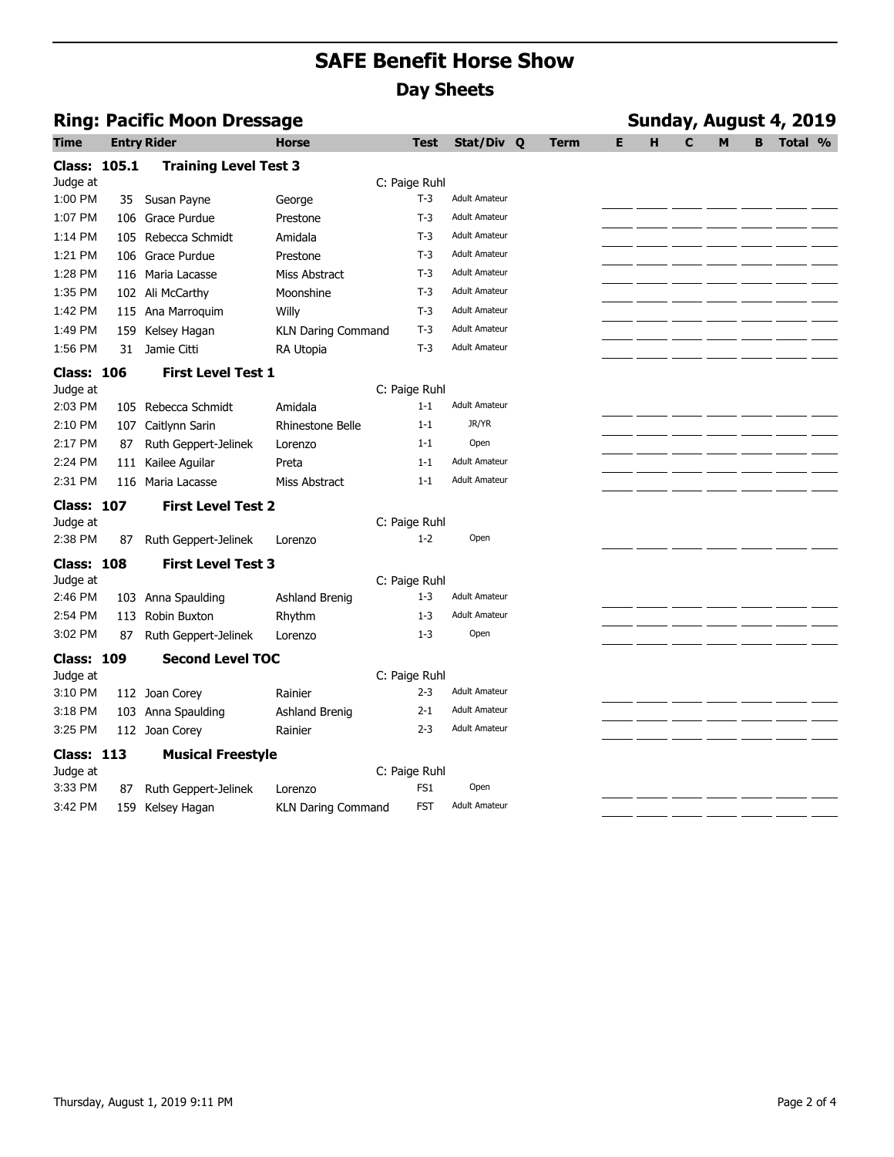| <b>Ring: Pacific Moon Dressage</b> |      |                              |                           |                 |                      |  | Sunday, August 4, 2019 |   |   |   |   |   |         |  |  |  |
|------------------------------------|------|------------------------------|---------------------------|-----------------|----------------------|--|------------------------|---|---|---|---|---|---------|--|--|--|
| <b>Time</b>                        |      | <b>Entry Rider</b>           | <b>Horse</b>              | Test            | Stat/Div Q           |  | Term                   | Е | н | C | M | в | Total % |  |  |  |
| <b>Class: 105.1</b>                |      | <b>Training Level Test 3</b> |                           |                 |                      |  |                        |   |   |   |   |   |         |  |  |  |
| Judge at                           |      |                              |                           | C: Paige Ruhl   |                      |  |                        |   |   |   |   |   |         |  |  |  |
| 1:00 PM                            | 35 - | Susan Payne                  | George                    | $T-3$           | <b>Adult Amateur</b> |  |                        |   |   |   |   |   |         |  |  |  |
| 1:07 PM                            |      | 106 Grace Purdue             | Prestone                  | $T-3$           | <b>Adult Amateur</b> |  |                        |   |   |   |   |   |         |  |  |  |
| 1:14 PM                            |      | 105 Rebecca Schmidt          | Amidala                   | $T-3$           | <b>Adult Amateur</b> |  |                        |   |   |   |   |   |         |  |  |  |
| 1:21 PM                            |      | 106 Grace Purdue             | Prestone                  | $T-3$           | <b>Adult Amateur</b> |  |                        |   |   |   |   |   |         |  |  |  |
| 1:28 PM                            |      | 116 Maria Lacasse            | Miss Abstract             | $T-3$           | <b>Adult Amateur</b> |  |                        |   |   |   |   |   |         |  |  |  |
| 1:35 PM                            |      | 102 Ali McCarthy             | Moonshine                 | $T-3$           | <b>Adult Amateur</b> |  |                        |   |   |   |   |   |         |  |  |  |
| 1:42 PM                            |      | 115 Ana Marroquim            | Willy                     | $T-3$           | <b>Adult Amateur</b> |  |                        |   |   |   |   |   |         |  |  |  |
| 1:49 PM                            |      | 159 Kelsey Hagan             | <b>KLN Daring Command</b> | $T-3$           | <b>Adult Amateur</b> |  |                        |   |   |   |   |   |         |  |  |  |
| 1:56 PM                            | 31   | Jamie Citti                  | RA Utopia                 | $T-3$           | <b>Adult Amateur</b> |  |                        |   |   |   |   |   |         |  |  |  |
| <b>Class: 106</b>                  |      | <b>First Level Test 1</b>    |                           |                 |                      |  |                        |   |   |   |   |   |         |  |  |  |
| Judge at                           |      |                              |                           | C: Paige Ruhl   |                      |  |                        |   |   |   |   |   |         |  |  |  |
| 2:03 PM                            |      | 105 Rebecca Schmidt          | Amidala                   | $1 - 1$         | <b>Adult Amateur</b> |  |                        |   |   |   |   |   |         |  |  |  |
| 2:10 PM                            | 107  | Caitlynn Sarin               | Rhinestone Belle          | $1 - 1$         | JR/YR                |  |                        |   |   |   |   |   |         |  |  |  |
| 2:17 PM                            | 87   | Ruth Geppert-Jelinek         | Lorenzo                   | $1 - 1$         | Open                 |  |                        |   |   |   |   |   |         |  |  |  |
| 2:24 PM                            | 111  | Kailee Aguilar               | Preta                     | $1 - 1$         | <b>Adult Amateur</b> |  |                        |   |   |   |   |   |         |  |  |  |
| 2:31 PM                            |      | 116 Maria Lacasse            | Miss Abstract             | $1 - 1$         | <b>Adult Amateur</b> |  |                        |   |   |   |   |   |         |  |  |  |
| <b>Class: 107</b>                  |      | <b>First Level Test 2</b>    |                           |                 |                      |  |                        |   |   |   |   |   |         |  |  |  |
| Judge at                           |      |                              |                           | C: Paige Ruhl   |                      |  |                        |   |   |   |   |   |         |  |  |  |
| 2:38 PM                            | 87   | Ruth Geppert-Jelinek         | Lorenzo                   | $1 - 2$         | Open                 |  |                        |   |   |   |   |   |         |  |  |  |
| <b>Class: 108</b>                  |      | <b>First Level Test 3</b>    |                           |                 |                      |  |                        |   |   |   |   |   |         |  |  |  |
| Judge at                           |      |                              |                           | C: Paige Ruhl   |                      |  |                        |   |   |   |   |   |         |  |  |  |
| 2:46 PM                            |      | 103 Anna Spaulding           | Ashland Brenig            | $1 - 3$         | <b>Adult Amateur</b> |  |                        |   |   |   |   |   |         |  |  |  |
| 2:54 PM                            |      | 113 Robin Buxton             | Rhythm                    | $1 - 3$         | <b>Adult Amateur</b> |  |                        |   |   |   |   |   |         |  |  |  |
| 3:02 PM                            | 87   | Ruth Geppert-Jelinek         | Lorenzo                   | $1 - 3$         | Open                 |  |                        |   |   |   |   |   |         |  |  |  |
| <b>Class: 109</b>                  |      | <b>Second Level TOC</b>      |                           |                 |                      |  |                        |   |   |   |   |   |         |  |  |  |
| Judge at                           |      |                              |                           | C: Paige Ruhl   |                      |  |                        |   |   |   |   |   |         |  |  |  |
| 3:10 PM                            |      | 112 Joan Corey               | Rainier                   | $2 - 3$         | <b>Adult Amateur</b> |  |                        |   |   |   |   |   |         |  |  |  |
| 3:18 PM                            |      | 103 Anna Spaulding           | Ashland Brenig            | $2 - 1$         | <b>Adult Amateur</b> |  |                        |   |   |   |   |   |         |  |  |  |
| 3:25 PM                            |      | 112 Joan Corey               | Rainier                   | $2 - 3$         | <b>Adult Amateur</b> |  |                        |   |   |   |   |   |         |  |  |  |
| <b>Class: 113</b>                  |      | <b>Musical Freestyle</b>     |                           |                 |                      |  |                        |   |   |   |   |   |         |  |  |  |
| Judge at                           |      |                              |                           | C: Paige Ruhl   |                      |  |                        |   |   |   |   |   |         |  |  |  |
| 3:33 PM                            | 87   | Ruth Geppert-Jelinek         | Lorenzo                   | FS <sub>1</sub> | Open                 |  |                        |   |   |   |   |   |         |  |  |  |
| 3:42 PM                            |      | 159 Kelsey Hagan             | <b>KLN Daring Command</b> | <b>FST</b>      | <b>Adult Amateur</b> |  |                        |   |   |   |   |   |         |  |  |  |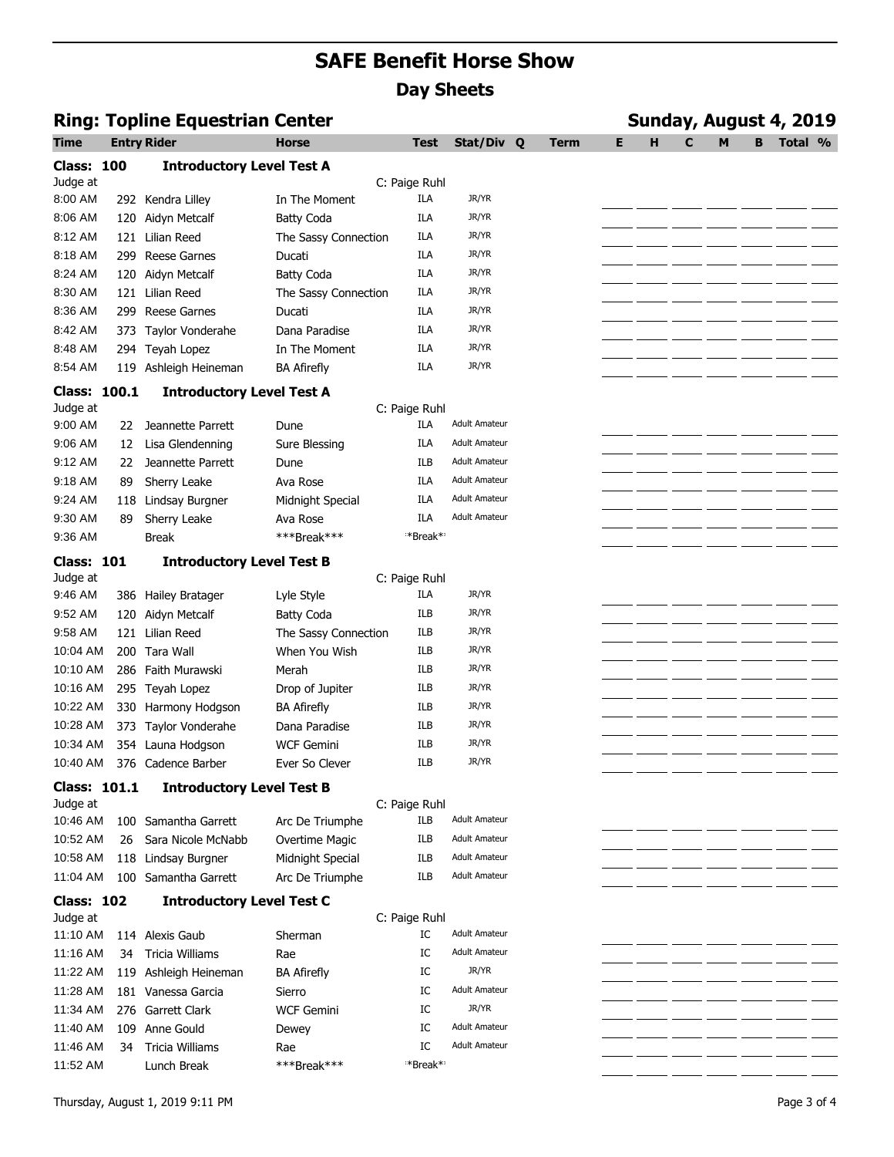| <b>Ring: Topline Equestrian Center</b> |     |                                  |                      |               |                      |  | Sunday, August 4, 2019 |   |   |   |   |   |         |  |  |  |
|----------------------------------------|-----|----------------------------------|----------------------|---------------|----------------------|--|------------------------|---|---|---|---|---|---------|--|--|--|
| <b>Time</b>                            |     | <b>Entry Rider</b>               | <b>Horse</b>         | <b>Test</b>   | Stat/Div Q           |  | <b>Term</b>            | Е | н | C | M | B | Total % |  |  |  |
| <b>Class: 100</b>                      |     | <b>Introductory Level Test A</b> |                      |               |                      |  |                        |   |   |   |   |   |         |  |  |  |
| Judge at                               |     |                                  |                      | C: Paige Ruhl |                      |  |                        |   |   |   |   |   |         |  |  |  |
| 8:00 AM                                |     | 292 Kendra Lilley                | In The Moment        | ILA           | JR/YR                |  |                        |   |   |   |   |   |         |  |  |  |
| 8:06 AM                                | 120 | Aidyn Metcalf                    | <b>Batty Coda</b>    | ILA           | JR/YR                |  |                        |   |   |   |   |   |         |  |  |  |
| 8:12 AM                                |     | 121 Lilian Reed                  | The Sassy Connection | ILA           | JR/YR                |  |                        |   |   |   |   |   |         |  |  |  |
| 8:18 AM                                |     | 299 Reese Garnes                 | Ducati               | ILA           | JR/YR                |  |                        |   |   |   |   |   |         |  |  |  |
| 8:24 AM                                | 120 | Aidyn Metcalf                    | <b>Batty Coda</b>    | ILA           | JR/YR                |  |                        |   |   |   |   |   |         |  |  |  |
| 8:30 AM                                |     | 121 Lilian Reed                  | The Sassy Connection | ILA           | JR/YR                |  |                        |   |   |   |   |   |         |  |  |  |
| 8:36 AM                                |     | 299 Reese Garnes                 | Ducati               | <b>ILA</b>    | JR/YR                |  |                        |   |   |   |   |   |         |  |  |  |
| 8:42 AM                                |     | 373 Taylor Vonderahe             | Dana Paradise        | ILA           | JR/YR                |  |                        |   |   |   |   |   |         |  |  |  |
| 8:48 AM                                |     | 294 Teyah Lopez                  | In The Moment        | <b>ILA</b>    | JR/YR                |  |                        |   |   |   |   |   |         |  |  |  |
| 8:54 AM                                |     | 119 Ashleigh Heineman            | <b>BA Afirefly</b>   | ILA           | JR/YR                |  |                        |   |   |   |   |   |         |  |  |  |
| <b>Class: 100.1</b>                    |     | <b>Introductory Level Test A</b> |                      |               |                      |  |                        |   |   |   |   |   |         |  |  |  |
| Judge at                               |     |                                  |                      | C: Paige Ruhl |                      |  |                        |   |   |   |   |   |         |  |  |  |
| 9:00 AM                                | 22  | Jeannette Parrett                | Dune                 | ILA           | <b>Adult Amateur</b> |  |                        |   |   |   |   |   |         |  |  |  |
| 9:06 AM                                | 12  | Lisa Glendenning                 | Sure Blessing        | ILA           | <b>Adult Amateur</b> |  |                        |   |   |   |   |   |         |  |  |  |
| 9:12 AM                                | 22  | Jeannette Parrett                | Dune                 | ILB           | <b>Adult Amateur</b> |  |                        |   |   |   |   |   |         |  |  |  |
| 9:18 AM                                | 89  | Sherry Leake                     | Ava Rose             | ILA           | <b>Adult Amateur</b> |  |                        |   |   |   |   |   |         |  |  |  |
| 9:24 AM                                | 118 | Lindsay Burgner                  | Midnight Special     | <b>ILA</b>    | <b>Adult Amateur</b> |  |                        |   |   |   |   |   |         |  |  |  |
| 9:30 AM                                | 89  | Sherry Leake                     | Ava Rose             | ILA           | <b>Adult Amateur</b> |  |                        |   |   |   |   |   |         |  |  |  |
| 9:36 AM                                |     | <b>Break</b>                     | ***Break***          | **Break**     |                      |  |                        |   |   |   |   |   |         |  |  |  |
| <b>Class: 101</b>                      |     | <b>Introductory Level Test B</b> |                      |               |                      |  |                        |   |   |   |   |   |         |  |  |  |
| Judge at                               |     |                                  |                      | C: Paige Ruhl |                      |  |                        |   |   |   |   |   |         |  |  |  |
| 9:46 AM                                |     | 386 Hailey Bratager              | Lyle Style           | ILA           | JR/YR                |  |                        |   |   |   |   |   |         |  |  |  |
| 9:52 AM                                | 120 | Aidyn Metcalf                    | <b>Batty Coda</b>    | <b>ILB</b>    | JR/YR                |  |                        |   |   |   |   |   |         |  |  |  |
| 9:58 AM                                |     | 121 Lilian Reed                  | The Sassy Connection | ILB           | JR/YR                |  |                        |   |   |   |   |   |         |  |  |  |
| 10:04 AM                               |     | 200 Tara Wall                    | When You Wish        | ILB           | JR/YR                |  |                        |   |   |   |   |   |         |  |  |  |
| 10:10 AM                               |     | 286 Faith Murawski               | Merah                | ILB           | JR/YR                |  |                        |   |   |   |   |   |         |  |  |  |
| 10:16 AM                               |     | 295 Teyah Lopez                  | Drop of Jupiter      | ILB           | JR/YR                |  |                        |   |   |   |   |   |         |  |  |  |
| 10:22 AM                               |     | 330 Harmony Hodgson              | <b>BA Afirefly</b>   | ILB           | JR/YR                |  |                        |   |   |   |   |   |         |  |  |  |
| 10:28 AM                               |     | 373 Taylor Vonderahe             | Dana Paradise        | ILB           | JR/YR                |  |                        |   |   |   |   |   |         |  |  |  |
| 10:34 AM                               |     | 354 Launa Hodgson                | <b>WCF Gemini</b>    | ILB           | JR/YR                |  |                        |   |   |   |   |   |         |  |  |  |
| 10:40 AM                               |     | 376 Cadence Barber               | Ever So Clever       | ILB           | JR/YR                |  |                        |   |   |   |   |   |         |  |  |  |
| <b>Class: 101.1</b>                    |     | <b>Introductory Level Test B</b> |                      |               |                      |  |                        |   |   |   |   |   |         |  |  |  |
| Judge at                               |     |                                  |                      | C: Paige Ruhl |                      |  |                        |   |   |   |   |   |         |  |  |  |
| 10:46 AM                               | 100 | Samantha Garrett                 | Arc De Triumphe      | ILB           | <b>Adult Amateur</b> |  |                        |   |   |   |   |   |         |  |  |  |
| 10:52 AM                               | 26  | Sara Nicole McNabb               | Overtime Magic       | ILB           | <b>Adult Amateur</b> |  |                        |   |   |   |   |   |         |  |  |  |
| 10:58 AM                               |     | 118 Lindsay Burgner              | Midnight Special     | ILB           | <b>Adult Amateur</b> |  |                        |   |   |   |   |   |         |  |  |  |
| 11:04 AM                               |     | 100 Samantha Garrett             | Arc De Triumphe      | ILB           | <b>Adult Amateur</b> |  |                        |   |   |   |   |   |         |  |  |  |
| <b>Class: 102</b>                      |     |                                  |                      |               |                      |  |                        |   |   |   |   |   |         |  |  |  |
| Judge at                               |     | <b>Introductory Level Test C</b> |                      | C: Paige Ruhl |                      |  |                        |   |   |   |   |   |         |  |  |  |
| 11:10 AM                               |     | 114 Alexis Gaub                  | Sherman              | IC            | <b>Adult Amateur</b> |  |                        |   |   |   |   |   |         |  |  |  |
| 11:16 AM                               | 34  | <b>Tricia Williams</b>           | Rae                  | IC            | <b>Adult Amateur</b> |  |                        |   |   |   |   |   |         |  |  |  |
| 11:22 AM                               | 119 | Ashleigh Heineman                | <b>BA Afirefly</b>   | IC            | JR/YR                |  |                        |   |   |   |   |   |         |  |  |  |
| 11:28 AM                               |     | 181 Vanessa Garcia               | Sierro               | IC            | <b>Adult Amateur</b> |  |                        |   |   |   |   |   |         |  |  |  |
| 11:34 AM                               |     | 276 Garrett Clark                | <b>WCF Gemini</b>    | IC            | JR/YR                |  |                        |   |   |   |   |   |         |  |  |  |
| 11:40 AM                               | 109 | Anne Gould                       | Dewey                | IC            | <b>Adult Amateur</b> |  |                        |   |   |   |   |   |         |  |  |  |
| 11:46 AM                               | 34  | Tricia Williams                  | Rae                  | IC            | <b>Adult Amateur</b> |  |                        |   |   |   |   |   |         |  |  |  |
| 11:52 AM                               |     | Lunch Break                      | ***Break***          | **Break**     |                      |  |                        |   |   |   |   |   |         |  |  |  |
|                                        |     |                                  |                      |               |                      |  |                        |   |   |   |   |   |         |  |  |  |